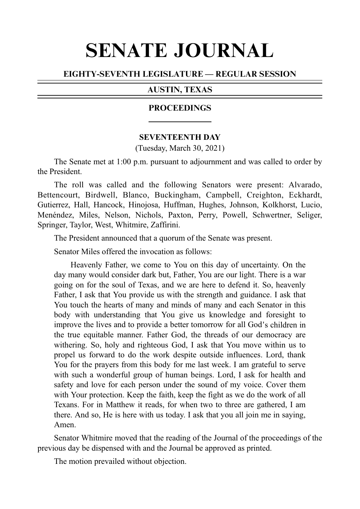# SENATE JOURNAL

# EIGHTY-SEVENTH LEGISLATURE — REGULAR SESSION

# AUSTIN, TEXAS

## PROCEEDINGS

## **SEVENTEENTH DAY**

(Tuesday, March 30, 2021)

The Senate met at 1:00 p.m. pursuant to adjournment and was called to order by the President.

The roll was called and the following Senators were present: Alvarado, Bettencourt, Birdwell, Blanco, Buckingham, Campbell, Creighton, Eckhardt, Gutierrez, Hall, Hancock, Hinojosa, Huffman, Hughes, Johnson, Kolkhorst, Lucio, Menéndez, Miles, Nelson, Nichols, Paxton, Perry, Powell, Schwertner, Seliger, Springer, Taylor, West, Whitmire, Zaffirini.

The President announced that a quorum of the Senate was present.

Senator Miles offered the invocation as follows:

Heavenly Father, we come to You on this day of uncertainty. On the day many would consider dark but, Father, You are our light. There is a war going on for the soul of Texas, and we are here to defend it. So, heavenly Father, I ask that You provide us with the strength and guidance. I ask that You touch the hearts of many and minds of many and each Senator in this body with understanding that You give us knowledge and foresight to improve the lives and to provide a better tomorrow for all God's children in the true equitable manner. Father God, the threads of our democracy are withering. So, holy and righteous God, I ask that You move within us to propel us forward to do the work despite outside influences. Lord, thank You for the prayers from this body for me last week. I am grateful to serve with such a wonderful group of human beings. Lord, I ask for health and safety and love for each person under the sound of my voice. Cover them with Your protection. Keep the faith, keep the fight as we do the work of all Texans. For in Matthew it reads, for when two to three are gathered, I am there. And so, He is here with us today. I ask that you all join me in saying, Amen.

Senator Whitmire moved that the reading of the Journal of the proceedings of the previous day be dispensed with and the Journal be approved as printed.

The motion prevailed without objection.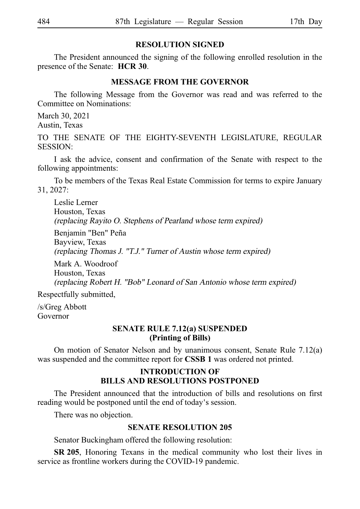# **RESOLUTION SIGNED**

The President announced the signing of the following enrolled resolution in the presence of the Senate: **HCR 30**.

#### **MESSAGE FROM THE GOVERNOR**

The following Message from the Governor was read and was referred to the Committee on Nominations:

March 30, 2021 Austin, Texas

TO THE SENATE OF THE EIGHTY-SEVENTH LEGISLATURE, REGULAR SESSION:

I ask the advice, consent and confirmation of the Senate with respect to the following appointments:

To be members of the Texas Real Estate Commission for terms to expire January 31, 2027:

Leslie Lerner Houston, Texas (replacing Rayito O. Stephens of Pearland whose term expired)

Benjamin "Ben" Peña Bayview, Texas (replacing Thomas J. "T.J." Turner of Austin whose term expired)

Mark A. Woodroof Houston, Texas (replacing Robert H. "Bob" Leonard of San Antonio whose term expired)

Respectfully submitted,

/s/Greg Abbott Governor

## **SENATE RULE 7.12(a) SUSPENDED (Printing of Bills)**

On motion of Senator Nelson and by unanimous consent, Senate Rule 7.12(a) was suspended and the committee report for **CSSB 1** was ordered not printed.

# **INTRODUCTION OF BILLS AND RESOLUTIONS POSTPONED**

The President announced that the introduction of bills and resolutions on first reading would be postponed until the end of today's session.

There was no objection.

# **SENATE RESOLUTION 205**

Senator Buckingham offered the following resolution:

**SR 205.** Honoring Texans in the medical community who lost their lives in service as frontline workers during the COVID-19 pandemic.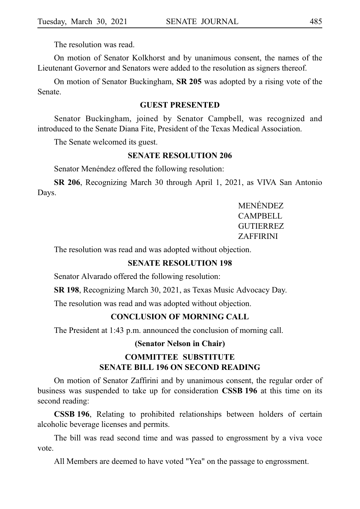The resolution was read.

On motion of Senator Kolkhorst and by unanimous consent, the names of the Lieutenant Governor and Senators were added to the resolution as signers thereof.

On motion of Senator Buckingham, **SR 205** was adopted by a rising vote of the Senate.

## **GUEST PRESENTED**

Senator Buckingham, joined by Senator Campbell, was recognized and introduced to the Senate Diana Fite, President of the Texas Medical Association.

The Senate welcomed its guest.

#### **SENATE RESOLUTION 206**

Senator Menéndez offered the following resolution:

**SR 206**, Recognizing March 30 through April 1, 2021, as VIVA San Antonio Days.

> MENÉNDEZ. CAMPBELL **GUTIERREZ** ZAFFIRINI

The resolution was read and was adopted without objection.

#### **SENATE RESOLUTION 198**

Senator Alvarado offered the following resolution:

**SR 198**, Recognizing March 30, 2021, as Texas Music Advocacy Day.

The resolution was read and was adopted without objection.

#### **CONCLUSION OF MORNING CALL**

The President at 1:43 p.m. announced the conclusion of morning call.

#### **(Senator Nelson in Chair)**

# **COMMITTEE SUBSTITUTE SENATE BILL 196 ON SECOND READING**

On motion of Senator Zaffirini and by unanimous consent, the regular order of business was suspended to take up for consideration **CSSBi196** at this time on its second reading:

**CSSB 196**, Relating to prohibited relationships between holders of certain alcoholic beverage licenses and permits.

The bill was read second time and was passed to engrossment by a viva voce vote.

All Members are deemed to have voted "Yea" on the passage to engrossment.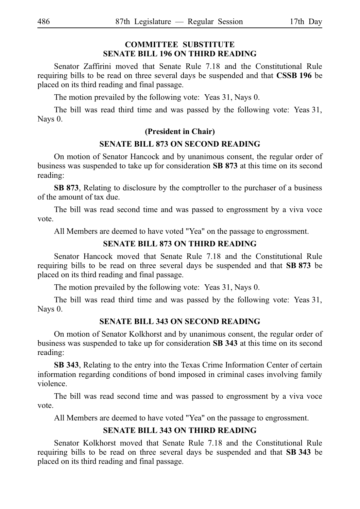# **COMMITTEE SUBSTITUTE SENATE BILL 196 ON THIRD READING**

Senator Zaffirini moved that Senate Rule 7.18 and the Constitutional Rule requiring bills to be read on three several days be suspended and that **CSSBi196** be placed on its third reading and final passage.

The motion prevailed by the following vote: Yeas 31, Nays 0.

The bill was read third time and was passed by the following vote: Yeas 31, Nays 0.

# **(President in Chair)**

# **SENATE BILL 873 ON SECOND READING**

On motion of Senator Hancock and by unanimous consent, the regular order of business was suspended to take up for consideration SB 873 at this time on its second reading:

**SB 873**, Relating to disclosure by the comptroller to the purchaser of a business of the amount of tax due.

The bill was read second time and was passed to engrossment by a viva voce vote.

All Members are deemed to have voted "Yea" on the passage to engrossment.

# **SENATE BILL 873 ON THIRD READING**

Senator Hancock moved that Senate Rule 7.18 and the Constitutional Rule requiring bills to be read on three several days be suspended and that **SB 873** be placed on its third reading and final passage.

The motion prevailed by the following vote: Yeas 31, Nays 0.

The bill was read third time and was passed by the following vote: Yeas 31, Nays 0.

# **SENATE BILL 343 ON SECOND READING**

On motion of Senator Kolkhorst and by unanimous consent, the regular order of business was suspended to take up for consideration **SBi343** at this time on its second reading:

**SB 343**, Relating to the entry into the Texas Crime Information Center of certain information regarding conditions of bond imposed in criminal cases involving family violence.

The bill was read second time and was passed to engrossment by a viva voce vote.

All Members are deemed to have voted "Yea" on the passage to engrossment.

# **SENATE BILL 343 ON THIRD READING**

Senator Kolkhorst moved that Senate Rule 7.18 and the Constitutional Rule requiring bills to be read on three several days be suspended and that **SB 343** be placed on its third reading and final passage.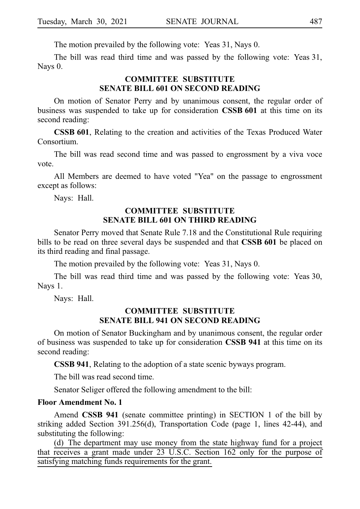The motion prevailed by the following vote: Yeas 31, Nays 0.

The bill was read third time and was passed by the following vote: Yeas 31, Nays 0.

# **COMMITTEE SUBSTITUTE SENATE BILL 601 ON SECOND READING**

On motion of Senator Perry and by unanimous consent, the regular order of business was suspended to take up for consideration **CSSB 601** at this time on its second reading:

**CSSB 601**, Relating to the creation and activities of the Texas Produced Water Consortium.

The bill was read second time and was passed to engrossment by a viva voce vote.

All Members are deemed to have voted "Yea" on the passage to engrossment except as follows:

Nays: Hall.

# **COMMITTEE SUBSTITUTE SENATE BILL 601 ON THIRD READING**

Senator Perry moved that Senate Rule 7.18 and the Constitutional Rule requiring bills to be read on three several days be suspended and that **CSSB 601** be placed on its third reading and final passage.

The motion prevailed by the following vote: Yeas 31, Nays 0.

The bill was read third time and was passed by the following vote: Yeas 30, Nays 1.

Nays: Hall.

# **COMMITTEE SUBSTITUTE SENATE BILL 941 ON SECOND READING**

On motion of Senator Buckingham and by unanimous consent, the regular order of business was suspended to take up for consideration **CSSB 941** at this time on its second reading:

**CSSB 941**, Relating to the adoption of a state scenic byways program.

The bill was read second time.

Senator Seliger offered the following amendment to the bill:

#### **Floor Amendment No. 1**

Amend **CSSB 941** (senate committee printing) in SECTION 1 of the bill by striking added Section 391.256(d), Transportation Code (page 1, lines 42-44), and substituting the following:

(d) The department may use money from the state highway fund for a project that receives a grant made under 23 U.S.C. Section 162 only for the purpose of satisfying matching funds requirements for the grant.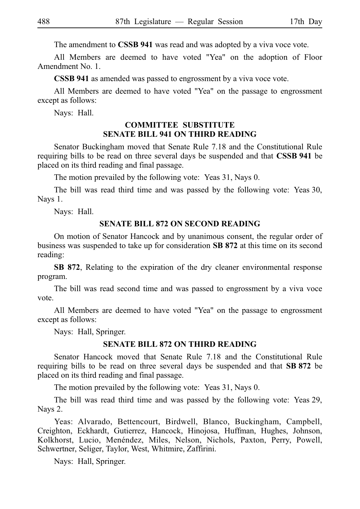The amendment to **CSSB 941** was read and was adopted by a viva voce vote.

All Members are deemed to have voted "Yea" on the adoption of Floor Amendment No. 1.

**CSSB 941** as amended was passed to engrossment by a viva voce vote.

All Members are deemed to have voted "Yea" on the passage to engrossment except as follows:

Nays: Hall.

# **COMMITTEE SUBSTITUTE SENATE BILL 941 ON THIRD READING**

Senator Buckingham moved that Senate Rule 7.18 and the Constitutional Rule requiring bills to be read on three several days be suspended and that CSSB 941 be placed on its third reading and final passage.

The motion prevailed by the following vote: Yeas 31, Nays 0.

The bill was read third time and was passed by the following vote: Yeas 30, Nays 1.

Nays: Hall.

#### **SENATE BILL 872 ON SECOND READING**

On motion of Senator Hancock and by unanimous consent, the regular order of business was suspended to take up for consideration **SBi872** at this time on its second reading:

**SB 872**, Relating to the expiration of the dry cleaner environmental response program.

The bill was read second time and was passed to engrossment by a viva voce vote.

All Members are deemed to have voted "Yea" on the passage to engrossment except as follows:

Nays: Hall, Springer.

#### **SENATE BILL 872 ON THIRD READING**

Senator Hancock moved that Senate Rule 7.18 and the Constitutional Rule requiring bills to be read on three several days be suspended and that **SB 872** be placed on its third reading and final passage.

The motion prevailed by the following vote: Yeas 31, Nays 0.

The bill was read third time and was passed by the following vote: Yeas 29, Nays 2.

Yeas: Alvarado, Bettencourt, Birdwell, Blanco, Buckingham, Campbell, Creighton, Eckhardt, Gutierrez, Hancock, Hinojosa, Huffman, Hughes, Johnson, Kolkhorst, Lucio, Menéndez, Miles, Nelson, Nichols, Paxton, Perry, Powell, Schwertner, Seliger, Taylor, West, Whitmire, Zaffirini.

Nays: Hall, Springer.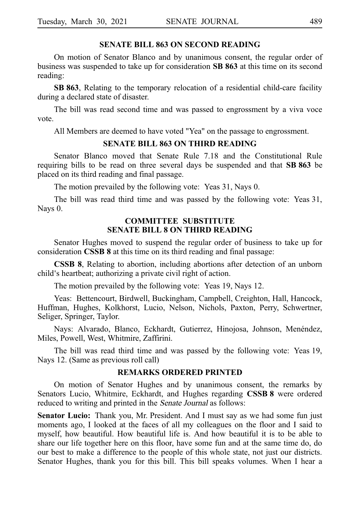## **SENATE BILL 863 ON SECOND READING**

On motion of Senator Blanco and by unanimous consent, the regular order of business was suspended to take up for consideration **SB 863** at this time on its second reading:

**SB 863**, Relating to the temporary relocation of a residential child-care facility during a declared state of disaster.

The bill was read second time and was passed to engrossment by a viva voce vote.

All Members are deemed to have voted "Yea" on the passage to engrossment.

# **SENATE BILL 863 ON THIRD READING**

Senator Blanco moved that Senate Rule 7.18 and the Constitutional Rule requiring bills to be read on three several days be suspended and that SB 863 be placed on its third reading and final passage.

The motion prevailed by the following vote: Yeas 31, Nays 0.

The bill was read third time and was passed by the following vote: Yeas 31, Nays 0.

## **COMMITTEE SUBSTITUTE SENATE BILL 8 ON THIRD READING**

Senator Hughes moved to suspend the regular order of business to take up for consideration **CSSB 8** at this time on its third reading and final passage:

**CSSB 8**, Relating to abortion, including abortions after detection of an unborn child's heartbeat; authorizing a private civil right of action.

The motion prevailed by the following vote: Yeas 19, Nays 12.

Yeas: Bettencourt, Birdwell, Buckingham, Campbell, Creighton, Hall, Hancock, Huffman, Hughes, Kolkhorst, Lucio, Nelson, Nichols, Paxton, Perry, Schwertner, Seliger, Springer, Taylor.

Nays: Alvarado, Blanco, Eckhardt, Gutierrez, Hinojosa, Johnson, Menéndez, Miles, Powell, West, Whitmire, Zaffirini.

The bill was read third time and was passed by the following vote: Yeas 19, Nays 12. (Same as previous roll call)

# **REMARKS ORDERED PRINTED**

On motion of Senator Hughes and by unanimous consent, the remarks by Senators Lucio, Whitmire, Eckhardt, and Hughes regarding **CSSB 8** were ordered reduced to writing and printed in the Senate Journal as follows:

**Senator Lucio:** Thank you, Mr. President. And I must say as we had some fun just moments ago, I looked at the faces of all my colleagues on the floor and I said to myself, how beautiful. How beautiful life is. And how beautiful it is to be able to share our life together here on this floor, have some fun and at the same time do, do our best to make a difference to the people of this whole state, not just our districts. Senator Hughes, thank you for this bill. This bill speaks volumes. When I hear a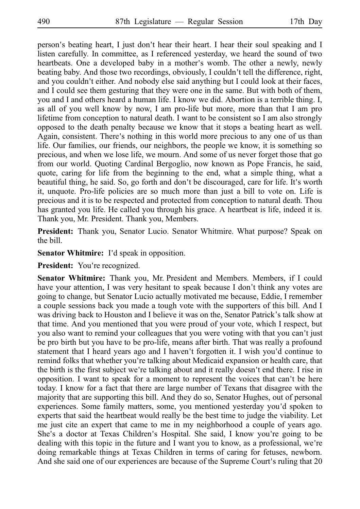person's beating heart, I just don't hear their heart. I hear their soul speaking and I listen carefully. In committee, as I referenced yesterday, we heard the sound of two heartbeats. One a developed baby in a mother's womb. The other a newly, newly beating baby. And those two recordings, obviously, I couldn't tell the difference, right, and you couldn't either. And nobody else said anything but I could look at their faces, and I could see them gesturing that they were one in the same. But with both of them, you and I and others heard a human life. I know we did. Abortion is a terrible thing. I, as all of you well know by now, I am pro-life but more, more than that I am pro lifetime from conception to natural death. I want to be consistent so I am also strongly opposed to the death penalty because we know that it stops a beating heart as well. Again, consistent. There's nothing in this world more precious to any one of us than life. Our families, our friends, our neighbors, the people we know, it is something so precious, and when we lose life, we mourn. And some of us never forget those that go from our world. Quoting Cardinal Bergoglio, now known as Pope Francis, he said, quote, caring for life from the beginning to the end, what a simple thing, what a beautiful thing, he said. So, go forth and don't be discouraged, care for life. It's worth it, unquote. Pro-life policies are so much more than just a bill to vote on. Life is precious and it is to be respected and protected from conception to natural death. Thou has granted you life. He called you through his grace. A heartbeat is life, indeed it is. Thank you, Mr. President. Thank you, Members.

President: Thank you, Senator Lucio. Senator Whitmire. What purpose? Speak on the bill.

**Senator Whitmire:** I'd speak in opposition.

**President:** You're recognized.

Senator Whitmire: Thank you, Mr. President and Members. Members, if I could have your attention, I was very hesitant to speak because I don't think any votes are going to change, but Senator Lucio actually motivated me because, Eddie, I remember a couple sessions back you made a tough vote with the supporters of this bill. And I was driving back to Houston and I believe it was on the, Senator Patrick's talk show at that time. And you mentioned that you were proud of your vote, which I respect, but you also want to remind your colleagues that you were voting with that you can't just be pro birth but you have to be pro-life, means after birth. That was really a profound statement that I heard years ago and I haven't forgotten it. I wish you'd continue to remind folks that whether you're talking about Medicaid expansion or health care, that the birth is the first subject we're talking about and it really doesn't end there. I rise in opposition. I want to speak for a moment to represent the voices that can't be here today. I know for a fact that there are large number of Texans that disagree with the majority that are supporting this bill. And they do so, Senator Hughes, out of personal experiences. Some family matters, some, you mentioned yesterday you'd spoken to experts that said the heartbeat would really be the best time to judge the viability. Let me just cite an expert that came to me in my neighborhood a couple of years ago. She's a doctor at Texas Children's Hospital. She said, I know you're going to be dealing with this topic in the future and I want you to know, as a professional, we're doing remarkable things at Texas Children in terms of caring for fetuses, newborn. And she said one of our experiences are because of the Supreme Court's ruling that 20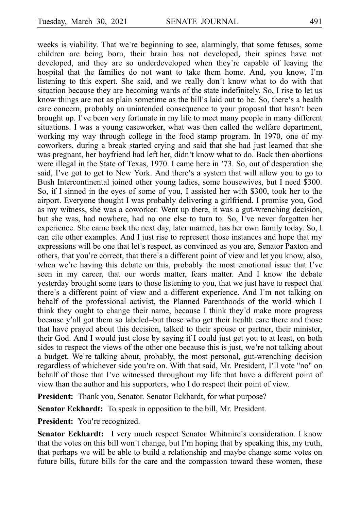weeks is viability. That we're beginning to see, alarmingly, that some fetuses, some children are being born, their brain has not developed, their spines have not developed, and they are so underdeveloped when they're capable of leaving the hospital that the families do not want to take them home. And, you know, I'm listening to this expert. She said, and we really don't know what to do with that situation because they are becoming wards of the state indefinitely. So, I rise to let us know things are not as plain sometime as the bill's laid out to be. So, there's a health care concern, probably an unintended consequence to your proposal that hasn't been brought up. I've been very fortunate in my life to meet many people in many different situations. I was a young caseworker, what was then called the welfare department, working my way through college in the food stamp program. In 1970, one of my coworkers, during a break started crying and said that she had just learned that she was pregnant, her boyfriend had left her, didn't know what to do. Back then abortions were illegal in the State of Texas, 1970. I came here in 73. So, out of desperation she ' said, I've got to get to New York. And there's a system that will allow you to go to Bush Intercontinental joined other young ladies, some housewives, but I need \$300. So, if I sinned in the eyes of some of you, I assisted her with \$300, took her to the airport. Everyone thought I was probably delivering a girlfriend. I promise you, God as my witness, she was a coworker. Went up there, it was a gut-wrenching decision, but she was, had nowhere, had no one else to turn to. So, I've never forgotten her experience. She came back the next day, later married, has her own family today. So, I can cite other examples. And I just rise to represent those instances and hope that my expressions will be one that let's respect, as convinced as you are, Senator Paxton and others, that you're correct, that there's a different point of view and let you know, also, when we're having this debate on this, probably the most emotional issue that I've seen in my career, that our words matter, fears matter. And I know the debate yesterday brought some tears to those listening to you, that we just have to respect that there's a different point of view and a different experience. And I'm not talking on behalf of the professional activist, the Planned Parenthoods of the world–which I think they ought to change their name, because I think they'd make more progress because y'all got them so labeled–but those who get their health care there and those that have prayed about this decision, talked to their spouse or partner, their minister, their God. And I would just close by saying if I could just get you to at least, on both sides to respect the views of the other one because this is just, we're not talking about a budget. We're talking about, probably, the most personal, gut-wrenching decision regardless of whichever side you're on. With that said, Mr. President, I'll vote "no" on behalf of those that I've witnessed throughout my life that have a different point of view than the author and his supporters, who I do respect their point of view.

**President:** Thank you, Senator. Senator Eckhardt, for what purpose?

**Senator Eckhardt:** To speak in opposition to the bill, Mr. President.

**President:** You're recognized.

**Senator Eckhardt:** I very much respect Senator Whitmire's consideration. I know that the votes on this bill won't change, but I'm hoping that by speaking this, my truth, that perhaps we will be able to build a relationship and maybe change some votes on future bills, future bills for the care and the compassion toward these women, these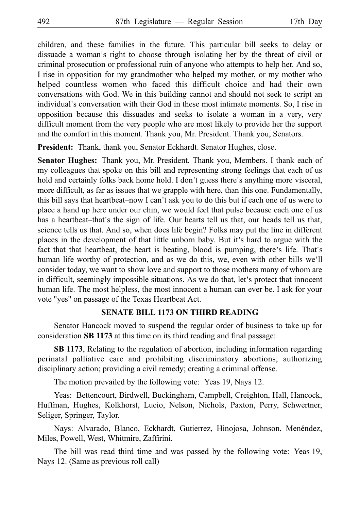children, and these families in the future. This particular bill seeks to delay or dissuade a woman's right to choose through isolating her by the threat of civil or criminal prosecution or professional ruin of anyone who attempts to help her. And so, I rise in opposition for my grandmother who helped my mother, or my mother who helped countless women who faced this difficult choice and had their own conversations with God. We in this building cannot and should not seek to script an individual's conversation with their God in these most intimate moments. So, I rise in opposition because this dissuades and seeks to isolate a woman in a very, very difficult moment from the very people who are most likely to provide her the support and the comfort in this moment. Thank you, Mr. President. Thank you, Senators.

**President:** Thank, thank you, Senator Eckhardt. Senator Hughes, close.

**Senator Hughes:** Thank you, Mr. President. Thank you, Members. I thank each of my colleagues that spoke on this bill and representing strong feelings that each of us hold and certainly folks back home hold. I don't guess there's anything more visceral, more difficult, as far as issues that we grapple with here, than this one. Fundamentally, this bill says that heartbeat–now I can't ask you to do this but if each one of us were to place a hand up here under our chin, we would feel that pulse because each one of us has a heartbeat–that's the sign of life. Our hearts tell us that, our heads tell us that, science tells us that. And so, when does life begin? Folks may put the line in different places in the development of that little unborn baby. But it's hard to argue with the fact that that heartbeat, the heart is beating, blood is pumping, there's life. That's human life worthy of protection, and as we do this, we, even with other bills we ll' consider today, we want to show love and support to those mothers many of whom are in difficult, seemingly impossible situations. As we do that, let's protect that innocent human life. The most helpless, the most innocent a human can ever be. I ask for your vote "yes" on passage of the Texas Heartbeat Act.

## **SENATE BILL 1173 ON THIRD READING**

Senator Hancock moved to suspend the regular order of business to take up for consideration **SB 1173** at this time on its third reading and final passage:

**SB 1173**, Relating to the regulation of abortion, including information regarding perinatal palliative care and prohibiting discriminatory abortions; authorizing disciplinary action; providing a civil remedy; creating a criminal offense.

The motion prevailed by the following vote: Yeas 19, Nays 12.

Yeas: Bettencourt, Birdwell, Buckingham, Campbell, Creighton, Hall, Hancock, Huffman, Hughes, Kolkhorst, Lucio, Nelson, Nichols, Paxton, Perry, Schwertner, Seliger, Springer, Taylor.

Nays: Alvarado, Blanco, Eckhardt, Gutierrez, Hinojosa, Johnson, Menéndez, Miles, Powell, West, Whitmire, Zaffirini.

The bill was read third time and was passed by the following vote: Yeas 19, Nays 12. (Same as previous roll call)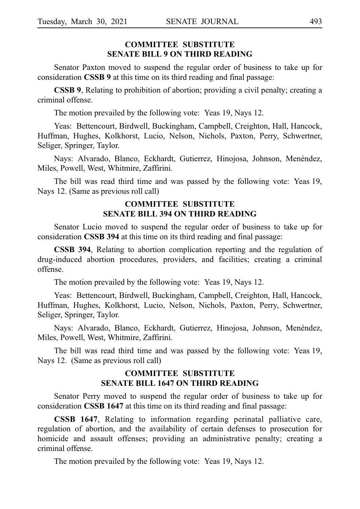# **COMMITTEE SUBSTITUTE SENATE BILL 9 ON THIRD READING**

Senator Paxton moved to suspend the regular order of business to take up for consideration **CSSB 9** at this time on its third reading and final passage:

**CSSB 9**, Relating to prohibition of abortion; providing a civil penalty; creating a criminal offense.

The motion prevailed by the following vote: Yeas 19, Nays 12.

Yeas: Bettencourt, Birdwell, Buckingham, Campbell, Creighton, Hall, Hancock, Huffman, Hughes, Kolkhorst, Lucio, Nelson, Nichols, Paxton, Perry, Schwertner, Seliger, Springer, Taylor.

Nays: Alvarado, Blanco, Eckhardt, Gutierrez, Hinojosa, Johnson, Menéndez, Miles, Powell, West, Whitmire, Zaffirini.

The bill was read third time and was passed by the following vote: Yeas 19, Nays 12. (Same as previous roll call)

# **COMMITTEE SUBSTITUTE SENATE BILL 394 ON THIRD READING**

Senator Lucio moved to suspend the regular order of business to take up for consideration **CSSB 394** at this time on its third reading and final passage:

**CSSB 394**, Relating to abortion complication reporting and the regulation of drug-induced abortion procedures, providers, and facilities; creating a criminal offense.

The motion prevailed by the following vote: Yeas 19, Nays 12.

Yeas: Bettencourt, Birdwell, Buckingham, Campbell, Creighton, Hall, Hancock, Huffman, Hughes, Kolkhorst, Lucio, Nelson, Nichols, Paxton, Perry, Schwertner, Seliger, Springer, Taylor.

Nays: Alvarado, Blanco, Eckhardt, Gutierrez, Hinojosa, Johnson, Menéndez, Miles, Powell, West, Whitmire, Zaffirini.

The bill was read third time and was passed by the following vote: Yeas 19, Nays 12. (Same as previous roll call)

# **COMMITTEE SUBSTITUTE SENATE BILL 1647 ON THIRD READING**

Senator Perry moved to suspend the regular order of business to take up for consideration **CSSBi1647** at this time on its third reading and final passage:

**CSSB 1647**, Relating to information regarding perinatal palliative care, regulation of abortion, and the availability of certain defenses to prosecution for homicide and assault offenses; providing an administrative penalty; creating a criminal offense.

The motion prevailed by the following vote: Yeas 19, Nays 12.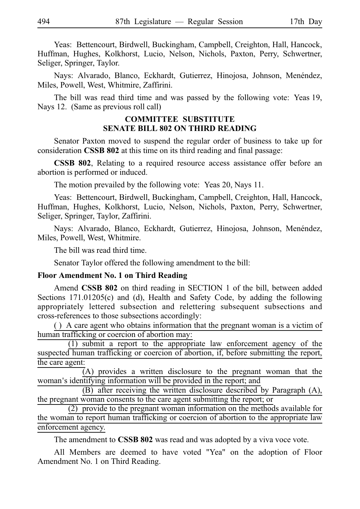Yeas: Bettencourt, Birdwell, Buckingham, Campbell, Creighton, Hall, Hancock, Huffman, Hughes, Kolkhorst, Lucio, Nelson, Nichols, Paxton, Perry, Schwertner, Seliger, Springer, Taylor.

Nays: Alvarado, Blanco, Eckhardt, Gutierrez, Hinojosa, Johnson, Menéndez, Miles, Powell, West, Whitmire, Zaffirini.

The bill was read third time and was passed by the following vote: Yeas 19, Nays 12. (Same as previous roll call)

# **COMMITTEE SUBSTITUTE SENATE BILL 802 ON THIRD READING**

Senator Paxton moved to suspend the regular order of business to take up for consideration **CSSB 802** at this time on its third reading and final passage:

**CSSB 802**, Relating to a required resource access assistance offer before an abortion is performed or induced.

The motion prevailed by the following vote: Yeas 20, Nays 11.

Yeas: Bettencourt, Birdwell, Buckingham, Campbell, Creighton, Hall, Hancock, Huffman, Hughes, Kolkhorst, Lucio, Nelson, Nichols, Paxton, Perry, Schwertner, Seliger, Springer, Taylor, Zaffirini.

Nays: Alvarado, Blanco, Eckhardt, Gutierrez, Hinojosa, Johnson, Menéndez, Miles, Powell, West, Whitmire.

The bill was read third time.

Senator Taylor offered the following amendment to the bill:

## **Floor Amendment No. 1 on Third Reading**

Amend **CSSB 802** on third reading in SECTION 1 of the bill, between added Sections 171.01205(c) and (d), Health and Safety Code, by adding the following appropriately lettered subsection and relettering subsequent subsections and cross-references to those subsections accordingly:

() A care agent who obtains information that the pregnant woman is a victim of human trafficking or coercion of abortion may:

 $(1)$  submit a report to the appropriate law enforcement agency of the suspected human trafficking or coercion of abortion, if, before submitting the report, the care agent:

 $\overline{A}$ ) provides a written disclosure to the pregnant woman that the woman's identifying information will be provided in the report; and

(B) after receiving the written disclosure described by Paragraph  $(A)$ , the pregnant woman consents to the care agent submitting the report; or

 $(2)$  provide to the pregnant woman information on the methods available for the woman to report human trafficking or coercion of abortion to the appropriate law enforcement agency.

The amendment to **CSSB 802** was read and was adopted by a viva voce vote.

All Members are deemed to have voted "Yea" on the adoption of Floor Amendment No. 1 on Third Reading.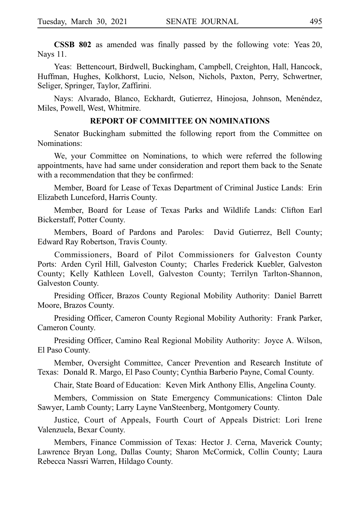**CSSB 802** as amended was finally passed by the following vote: Yeas 20, Nays 11.

Yeas: Bettencourt, Birdwell, Buckingham, Campbell, Creighton, Hall, Hancock, Huffman, Hughes, Kolkhorst, Lucio, Nelson, Nichols, Paxton, Perry, Schwertner, Seliger, Springer, Taylor, Zaffirini.

Nays: Alvarado, Blanco, Eckhardt, Gutierrez, Hinojosa, Johnson, Menéndez, Miles, Powell, West, Whitmire.

#### **REPORT OF COMMITTEE ON NOMINATIONS**

Senator Buckingham submitted the following report from the Committee on Nominations:

We, your Committee on Nominations, to which were referred the following appointments, have had same under consideration and report them back to the Senate with a recommendation that they be confirmed:

Member, Board for Lease of Texas Department of Criminal Justice Lands: Erin Elizabeth Lunceford, Harris County.

Member, Board for Lease of Texas Parks and Wildlife Lands: Clifton Earl Bickerstaff, Potter County.

Members, Board of Pardons and Paroles: David Gutierrez, Bell County; Edward Ray Robertson, Travis County.

Commissioners, Board of Pilot Commissioners for Galveston County Ports: Arden Cyril Hill, Galveston County; Charles Frederick Kuebler, Galveston County; Kelly Kathleen Lovell, Galveston County; Terrilyn Tarlton-Shannon, Galveston County.

Presiding Officer, Brazos County Regional Mobility Authority: Daniel Barrett Moore, Brazos County.

Presiding Officer, Cameron County Regional Mobility Authority: Frank Parker, Cameron County.

Presiding Officer, Camino Real Regional Mobility Authority: Joyce A. Wilson, El Paso County.

Member, Oversight Committee, Cancer Prevention and Research Institute of Texas: Donald R. Margo, El Paso County; Cynthia Barberio Payne, Comal County.

Chair, State Board of Education: Keven Mirk Anthony Ellis, Angelina County.

Members, Commission on State Emergency Communications: Clinton Dale Sawyer, Lamb County; Larry Layne VanSteenberg, Montgomery County.

Justice, Court of Appeals, Fourth Court of Appeals District: Lori Irene Valenzuela, Bexar County.

Members, Finance Commission of Texas: Hector J. Cerna, Maverick County; Lawrence Bryan Long, Dallas County; Sharon McCormick, Collin County; Laura Rebecca Nassri Warren, Hildago County.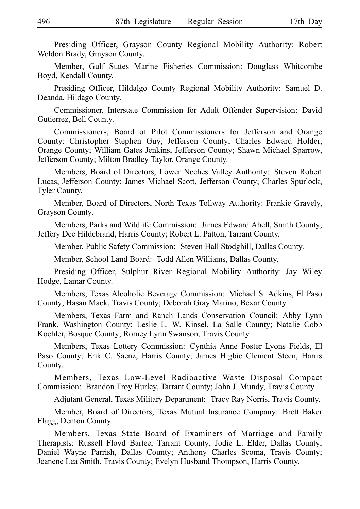Presiding Officer, Grayson County Regional Mobility Authority: Robert Weldon Brady, Grayson County.

Member, Gulf States Marine Fisheries Commission: Douglass Whitcombe Boyd, Kendall County.

Presiding Officer, Hildalgo County Regional Mobility Authority: Samuel D. Deanda, Hildago County.

Commissioner, Interstate Commission for Adult Offender Supervision: David Gutierrez, Bell County.

Commissioners, Board of Pilot Commissioners for Jefferson and Orange County: Christopher Stephen Guy, Jefferson County; Charles Edward Holder, Orange County; William Gates Jenkins, Jefferson County; Shawn Michael Sparrow, Jefferson County; Milton Bradley Taylor, Orange County.

Members, Board of Directors, Lower Neches Valley Authority: Steven Robert Lucas, Jefferson County; James Michael Scott, Jefferson County; Charles Spurlock, Tyler County.

Member, Board of Directors, North Texas Tollway Authority: Frankie Gravely, Grayson County.

Members, Parks and Wildlife Commission: James Edward Abell, Smith County; Jeffery Dee Hildebrand, Harris County; Robert L. Patton, Tarrant County.

Member, Public Safety Commission: Steven Hall Stodghill, Dallas County.

Member, School Land Board: Todd Allen Williams, Dallas County.

Presiding Officer, Sulphur River Regional Mobility Authority: Jay Wiley Hodge, Lamar County.

Members, Texas Alcoholic Beverage Commission: Michael S. Adkins, El Paso County; Hasan Mack, Travis County; Deborah Gray Marino, Bexar County.

Members, Texas Farm and Ranch Lands Conservation Council: Abby Lynn Frank, Washington County; Leslie L. W. Kinsel, La Salle County; Natalie Cobb Koehler, Bosque County; Romey Lynn Swanson, Travis County.

Members, Texas Lottery Commission: Cynthia Anne Foster Lyons Fields, El Paso County; Erik C. Saenz, Harris County; James Higbie Clement Steen, Harris County.

Members, Texas Low-Level Radioactive Waste Disposal Compact Commission: Brandon Troy Hurley, Tarrant County; John J. Mundy, Travis County.

Adjutant General, Texas Military Department: Tracy Ray Norris, Travis County.

Member, Board of Directors, Texas Mutual Insurance Company: Brett Baker Flagg, Denton County.

Members, Texas State Board of Examiners of Marriage and Family Therapists: Russell Floyd Bartee, Tarrant County; Jodie L. Elder, Dallas County; Daniel Wayne Parrish, Dallas County; Anthony Charles Scoma, Travis County; Jeanene Lea Smith, Travis County; Evelyn Husband Thompson, Harris County.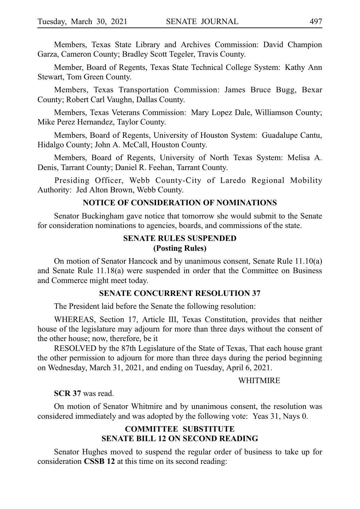Members, Texas State Library and Archives Commission: David Champion Garza, Cameron County; Bradley Scott Tegeler, Travis County.

Member, Board of Regents, Texas State Technical College System: Kathy Ann Stewart, Tom Green County.

Members, Texas Transportation Commission: James Bruce Bugg, Bexar County; Robert Carl Vaughn, Dallas County.

Members, Texas Veterans Commission: Mary Lopez Dale, Williamson County; Mike Perez Hernandez, Taylor County.

Members, Board of Regents, University of Houston System: Guadalupe Cantu, Hidalgo County; John A. McCall, Houston County.

Members, Board of Regents, University of North Texas System: Melisa A. Denis, Tarrant County; Daniel R. Feehan, Tarrant County.

Presiding Officer, Webb County-City of Laredo Regional Mobility Authority: Jed Alton Brown, Webb County.

## **NOTICE OF CONSIDERATION OF NOMINATIONS**

Senator Buckingham gave notice that tomorrow she would submit to the Senate for consideration nominations to agencies, boards, and commissions of the state.

# **SENATE RULES SUSPENDED (Posting Rules)**

On motion of Senator Hancock and by unanimous consent, Senate Rule 11.10(a) and Senate Rule 11.18(a) were suspended in order that the Committee on Business and Commerce might meet today.

#### **SENATE CONCURRENT RESOLUTION 37**

The President laid before the Senate the following resolution:

WHEREAS, Section 17, Article III, Texas Constitution, provides that neither house of the legislature may adjourn for more than three days without the consent of the other house; now, therefore, be it

RESOLVED by the 87th Legislature of the State of Texas, That each house grant the other permission to adjourn for more than three days during the period beginning on Wednesday, March 31, 2021, and ending on Tuesday, April 6, 2021.

#### **WHITMIRE**

#### **SCR 37** was read.

On motion of Senator Whitmire and by unanimous consent, the resolution was considered immediately and was adopted by the following vote: Yeas 31, Nays 0.

# **COMMITTEE SUBSTITUTE SENATE BILL 12 ON SECOND READING**

Senator Hughes moved to suspend the regular order of business to take up for consideration **CSSB 12** at this time on its second reading: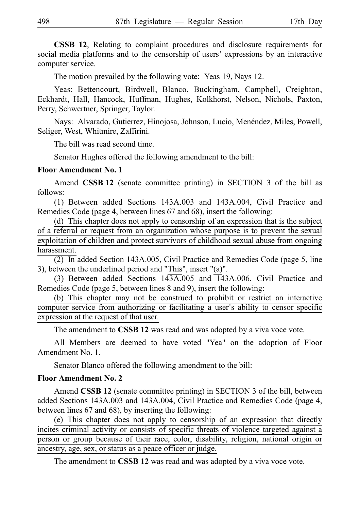**CSSB 12**, Relating to complaint procedures and disclosure requirements for social media platforms and to the censorship of users' expressions by an interactive computer service.

The motion prevailed by the following vote: Yeas 19, Nays 12.

Yeas: Bettencourt, Birdwell, Blanco, Buckingham, Campbell, Creighton, Eckhardt, Hall, Hancock, Huffman, Hughes, Kolkhorst, Nelson, Nichols, Paxton, Perry, Schwertner, Springer, Taylor.

Nays: Alvarado, Gutierrez, Hinojosa, Johnson, Lucio, Menéndez, Miles, Powell, Seliger, West, Whitmire, Zaffirini.

The bill was read second time.

Senator Hughes offered the following amendment to the bill:

## **Floor Amendment No. 1**

Amend **CSSBi12** (senate committee printing) in SECTION 3 of the bill as follows:

(1) Between added Sections 143A.003 and 143A.004, Civil Practice and Remedies Code (page 4, between lines 67 and 68), insert the following:

(d) This chapter does not apply to censorship of an expression that is the subject of a referral or request from an organization whose purpose is to prevent the sexual exploitation of children and protect survivors of childhood sexual abuse from ongoing harassment.

 $\overline{(2)}$  In added Section 143A.005, Civil Practice and Remedies Code (page 5, line 3), between the underlined period and "This", insert "(a)".

(3) Between added Sections  $143A.005$  and  $143A.006$ , Civil Practice and Remedies Code (page 5, between lines 8 and 9), insert the following:

(b) This chapter may not be construed to prohibit or restrict an interactive computer service from authorizing or facilitating a user's ability to censor specific expression at the request of that user.

The amendment to **CSSB 12** was read and was adopted by a viva voce vote.

All Members are deemed to have voted "Yea" on the adoption of Floor Amendment No. 1.

Senator Blanco offered the following amendment to the bill:

## **Floor Amendment No. 2**

Amend **CSSB 12** (senate committee printing) in SECTION 3 of the bill, between added Sections 143A.003 and 143A.004, Civil Practice and Remedies Code (page 4, between lines 67 and 68), by inserting the following:

(e) This chapter does not apply to censorship of an expression that directly incites criminal activity or consists of specific threats of violence targeted against a person or group because of their race, color, disability, religion, national origin or ancestry, age, sex, or status as a peace officer or judge.

The amendment to **CSSB 12** was read and was adopted by a viva voce vote.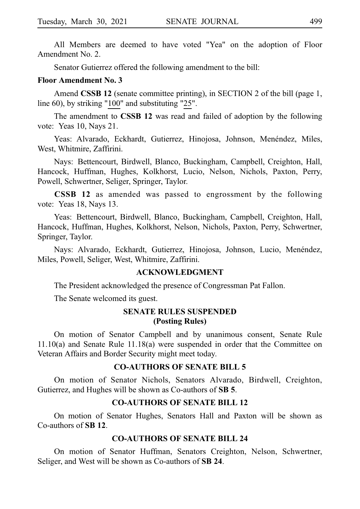All Members are deemed to have voted "Yea" on the adoption of Floor Amendment No. 2.

Senator Gutierrez offered the following amendment to the bill:

#### **Floor Amendment No. 3**

Amend **CSSB 12** (senate committee printing), in SECTION 2 of the bill (page 1, line 60), by striking "100" and substituting "25".

The amendment to **CSSB 12** was read and failed of adoption by the following vote: Yeas 10, Nays 21.

Yeas: Alvarado, Eckhardt, Gutierrez, Hinojosa, Johnson, Menéndez, Miles, West, Whitmire, Zaffirini.

Nays: Bettencourt, Birdwell, Blanco, Buckingham, Campbell, Creighton, Hall, Hancock, Huffman, Hughes, Kolkhorst, Lucio, Nelson, Nichols, Paxton, Perry, Powell, Schwertner, Seliger, Springer, Taylor.

**CSSB 12** as amended was passed to engrossment by the following vote: Yeas 18, Nays 13.

Yeas: Bettencourt, Birdwell, Blanco, Buckingham, Campbell, Creighton, Hall, Hancock, Huffman, Hughes, Kolkhorst, Nelson, Nichols, Paxton, Perry, Schwertner, Springer, Taylor.

Nays: Alvarado, Eckhardt, Gutierrez, Hinojosa, Johnson, Lucio, Menéndez, Miles, Powell, Seliger, West, Whitmire, Zaffirini.

## **ACKNOWLEDGMENT**

The President acknowledged the presence of Congressman Pat Fallon.

The Senate welcomed its guest.

# **SENATE RULES SUSPENDED (Posting Rules)**

On motion of Senator Campbell and by unanimous consent, Senate Rule 11.10(a) and Senate Rule 11.18(a) were suspended in order that the Committee on Veteran Affairs and Border Security might meet today.

## **CO-AUTHORS OF SENATE BILL 5**

On motion of Senator Nichols, Senators Alvarado, Birdwell, Creighton, Gutierrez, and Hughes will be shown as Co-authors of **SB 5**.

## **CO-AUTHORS OF SENATE BILL 12**

On motion of Senator Hughes, Senators Hall and Paxton will be shown as Co-authors of **SBi12**.

#### **CO-AUTHORS OF SENATE BILL 24**

On motion of Senator Huffman, Senators Creighton, Nelson, Schwertner, Seliger, and West will be shown as Co-authors of **SB 24**.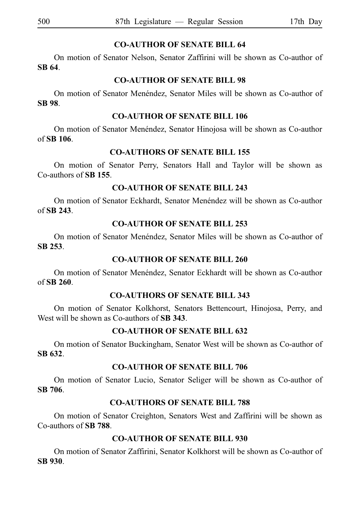# **CO-AUTHOR OF SENATE BILL 64**

On motion of Senator Nelson, Senator Zaffirini will be shown as Co-author of **SBi64**.

# **CO-AUTHOR OF SENATE BILL 98**

On motion of Senator Menéndez, Senator Miles will be shown as Co-author of **SBi98**.

# **CO-AUTHOR OF SENATE BILL 106**

On motion of Senator Menéndez, Senator Hinojosa will be shown as Co-author of **SBi106**.

# **CO-AUTHORS OF SENATE BILL 155**

On motion of Senator Perry, Senators Hall and Taylor will be shown as Co-authors of **SBi155**.

# **CO-AUTHOR OF SENATE BILL 243**

On motion of Senator Eckhardt, Senator Menéndez will be shown as Co-author of **SBi243**.

# **CO-AUTHOR OF SENATE BILL 253**

On motion of Senator Menéndez, Senator Miles will be shown as Co-author of **SBi253**.

# **CO-AUTHOR OF SENATE BILL 260**

On motion of Senator Menéndez, Senator Eckhardt will be shown as Co-author of **SBi260**.

# **CO-AUTHORS OF SENATE BILL 343**

On motion of Senator Kolkhorst, Senators Bettencourt, Hinojosa, Perry, and West will be shown as Co-authors of **SB 343**.

# **CO-AUTHOR OF SENATE BILL 632**

On motion of Senator Buckingham, Senator West will be shown as Co-author of **SBi632**.

# **CO-AUTHOR OF SENATE BILL 706**

On motion of Senator Lucio, Senator Seliger will be shown as Co-author of **SBi706**.

# **CO-AUTHORS OF SENATE BILL 788**

On motion of Senator Creighton, Senators West and Zaffirini will be shown as Co-authors of **SBi788**.

# **CO-AUTHOR OF SENATE BILL 930**

On motion of Senator Zaffirini, Senator Kolkhorst will be shown as Co-author of **SBi930**.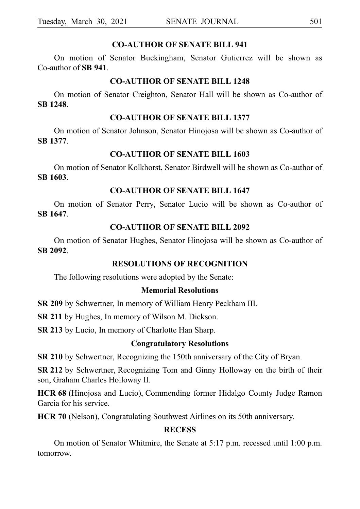## **CO-AUTHOR OF SENATE BILL 941**

On motion of Senator Buckingham, Senator Gutierrez will be shown as Co-author of **SBi941**.

## **CO-AUTHOR OF SENATE BILL 1248**

On motion of Senator Creighton, Senator Hall will be shown as Co-author of **SBi1248**.

## **CO-AUTHOR OF SENATE BILL 1377**

On motion of Senator Johnson, Senator Hinojosa will be shown as Co-author of **SBi1377**.

# **CO-AUTHOR OF SENATE BILL 1603**

On motion of Senator Kolkhorst, Senator Birdwell will be shown as Co-author of **SBi1603**.

# **CO-AUTHOR OF SENATE BILL 1647**

On motion of Senator Perry, Senator Lucio will be shown as Co-author of **SBi1647**.

# **CO-AUTHOR OF SENATE BILL 2092**

On motion of Senator Hughes, Senator Hinojosa will be shown as Co-author of **SBi2092**.

## **RESOLUTIONS OF RECOGNITION**

The following resolutions were adopted by the Senate:

# **Memorial Resolutions**

**SR 209** by Schwertner, In memory of William Henry Peckham III.

**SR 211** by Hughes, In memory of Wilson M. Dickson.

**SR 213** by Lucio, In memory of Charlotte Han Sharp.

## **Congratulatory Resolutions**

**SR 210** by Schwertner, Recognizing the 150th anniversary of the City of Bryan.

**SR 212** by Schwertner, Recognizing Tom and Ginny Holloway on the birth of their son, Graham Charles Holloway II.

**HCR 68** (Hinojosa and Lucio), Commending former Hidalgo County Judge Ramon Garcia for his service.

**HCR 70** (Nelson), Congratulating Southwest Airlines on its 50th anniversary.

# **RECESS**

On motion of Senator Whitmire, the Senate at 5:17 p.m. recessed until 1:00 p.m. tomorrow.